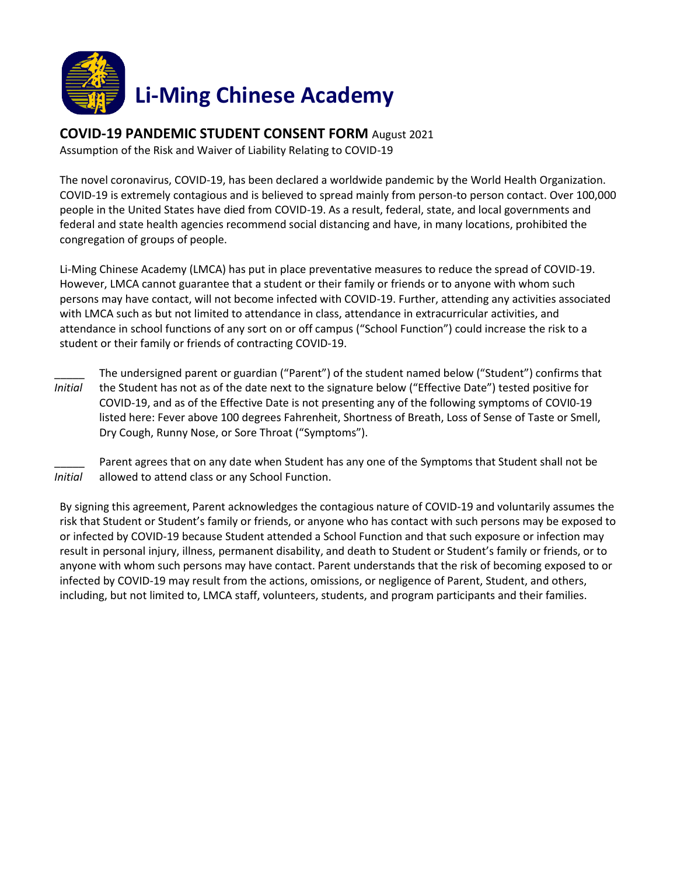

## **COVID-19 PANDEMIC STUDENT CONSENT FORM** August 2021

Assumption of the Risk and Waiver of Liability Relating to COVID-19

The novel coronavirus, COVID-19, has been declared a worldwide pandemic by the World Health Organization. COVID-19 is extremely contagious and is believed to spread mainly from person-to person contact. Over 100,000 people in the United States have died from COVID-19. As a result, federal, state, and local governments and federal and state health agencies recommend social distancing and have, in many locations, prohibited the congregation of groups of people.

Li-Ming Chinese Academy (LMCA) has put in place preventative measures to reduce the spread of COVID-19. However, LMCA cannot guarantee that a student or their family or friends or to anyone with whom such persons may have contact, will not become infected with COVID-19. Further, attending any activities associated with LMCA such as but not limited to attendance in class, attendance in extracurricular activities, and attendance in school functions of any sort on or off campus ("School Function") could increase the risk to a student or their family or friends of contracting COVID-19.

\_\_\_\_\_ *Initial* The undersigned parent or guardian ("Parent") of the student named below ("Student") confirms that the Student has not as of the date next to the signature below ("Effective Date") tested positive for COVID-19, and as of the Effective Date is not presenting any of the following symptoms of COVI0-19 listed here: Fever above 100 degrees Fahrenheit, Shortness of Breath, Loss of Sense of Taste or Smell, Dry Cough, Runny Nose, or Sore Throat ("Symptoms").

\_\_\_\_\_ *Initial* Parent agrees that on any date when Student has any one of the Symptoms that Student shall not be allowed to attend class or any School Function.

By signing this agreement, Parent acknowledges the contagious nature of COVID-19 and voluntarily assumes the risk that Student or Student's family or friends, or anyone who has contact with such persons may be exposed to or infected by COVID-19 because Student attended a School Function and that such exposure or infection may result in personal injury, illness, permanent disability, and death to Student or Student's family or friends, or to anyone with whom such persons may have contact. Parent understands that the risk of becoming exposed to or infected by COVID-19 may result from the actions, omissions, or negligence of Parent, Student, and others, including, but not limited to, LMCA staff, volunteers, students, and program participants and their families.